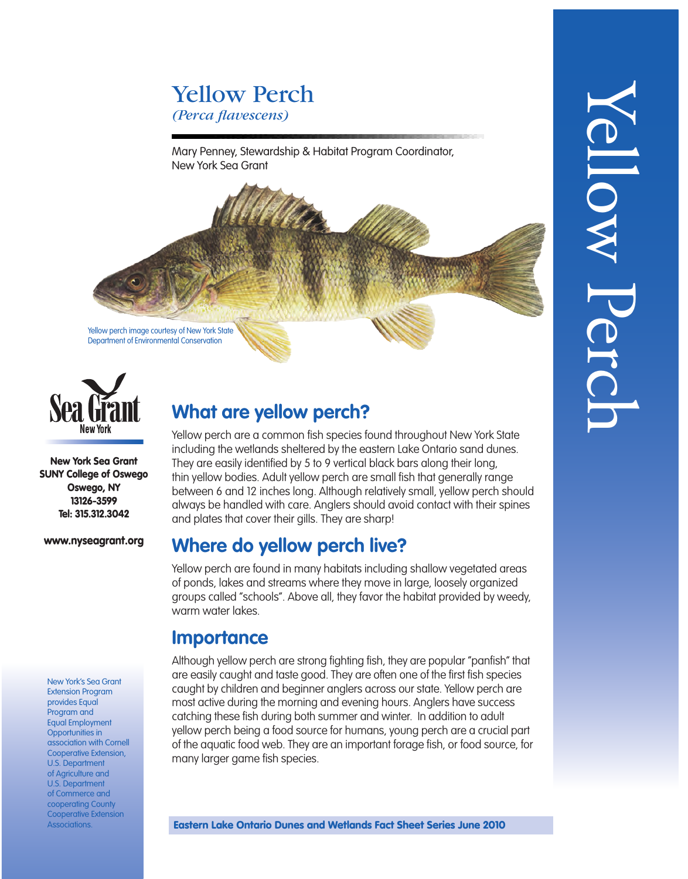# Yellow Perch *(Perca flavescens)*

Mary Penney, Stewardship & Habitat Program Coordinator, New York Sea Grant





New York Sea Grant SUNY College of Oswego Oswego, NY 13126-3599 Tel: 315.312.3042

#### www.nyseagrant.org

New York's Sea Grant Extension Program provides Equal Program and Equal Employment Opportunities in association with Cornell Cooperative Extension, U.S. Department of Agriculture and U.S. Department of Commerce and cooperating County Cooperative Extension Associations.

## **What are yellow perch?**

Yellow perch are a common fish species found throughout New York State including the wetlands sheltered by the eastern Lake Ontario sand dunes. They are easily identified by 5 to 9 vertical black bars along their long, thin yellow bodies. Adult yellow perch are small fish that generally range between 6 and 12 inches long. Although relatively small, yellow perch should always be handled with care. Anglers should avoid contact with their spines and plates that cover their gills. They are sharp!

### **Where do yellow perch live?**

Yellow perch are found in many habitats including shallow vegetated areas of ponds, lakes and streams where they move in large, loosely organized groups called "schools". Above all, they favor the habitat provided by weedy, warm water lakes.

### **Importance**

Although yellow perch are strong fighting fish, they are popular "panfish" that are easily caught and taste good. They are often one of the first fish species caught by children and beginner anglers across our state. Yellow perch are most active during the morning and evening hours. Anglers have success catching these fish during both summer and winter. In addition to adult yellow perch being a food source for humans, young perch are a crucial part of the aquatic food web. They are an important forage fish, or food source, for many larger game fish species.